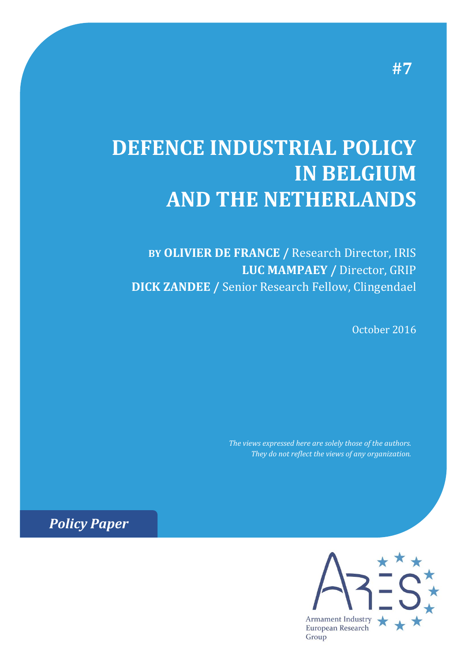# **DEFENCE INDUSTRIAL POLICY IN BELGIUM AND THE NETHERLANDS**

**BY OLIVIER DE FRANCE /** Research Director, IRIS **LUC MAMPAEY /** Director, GRIP **DICK ZANDEE /** Senior Research Fellow, Clingendael

October 2016

*The views expressed here are solely those of the authors. They do not reflect the views of any organization.*

*Policy Paper*

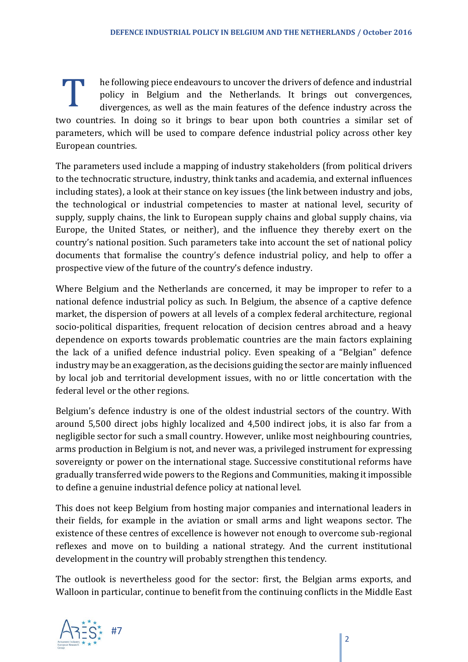he following piece endeavours to uncover the drivers of defence and industrial policy in Belgium and the Netherlands. It brings out convergences, divergences, as well as the main features of the defence industry across the two countries. In doing so it brings to bear upon both countries a similar set of parameters, which will be used to compare defence industrial policy across other key European countries. T

The parameters used include a mapping of industry stakeholders (from political drivers to the technocratic structure, industry, think tanks and academia, and external influences including states), a look at their stance on key issues (the link between industry and jobs, the technological or industrial competencies to master at national level, security of supply, supply chains, the link to European supply chains and global supply chains, via Europe, the United States, or neither), and the influence they thereby exert on the country's national position. Such parameters take into account the set of national policy documents that formalise the country's defence industrial policy, and help to offer a prospective view of the future of the country's defence industry.

Where Belgium and the Netherlands are concerned, it may be improper to refer to a national defence industrial policy as such. In Belgium, the absence of a captive defence market, the dispersion of powers at all levels of a complex federal architecture, regional socio-political disparities, frequent relocation of decision centres abroad and a heavy dependence on exports towards problematic countries are the main factors explaining the lack of a unified defence industrial policy. Even speaking of a "Belgian" defence industry may be an exaggeration, as the decisions guiding the sector are mainly influenced by local job and territorial development issues, with no or little concertation with the federal level or the other regions.

Belgium's defence industry is one of the oldest industrial sectors of the country. With around 5,500 direct jobs highly localized and 4,500 indirect jobs, it is also far from a negligible sector for such a small country. However, unlike most neighbouring countries, arms production in Belgium is not, and never was, a privileged instrument for expressing sovereignty or power on the international stage. Successive constitutional reforms have gradually transferred wide powers to the Regions and Communities, making it impossible to define a genuine industrial defence policy at national level.

This does not keep Belgium from hosting major companies and international leaders in their fields, for example in the aviation or small arms and light weapons sector. The existence of these centres of excellence is however not enough to overcome sub-regional reflexes and move on to building a national strategy. And the current institutional development in the country will probably strengthen this tendency.

The outlook is nevertheless good for the sector: first, the Belgian arms exports, and Walloon in particular, continue to benefit from the continuing conflicts in the Middle East

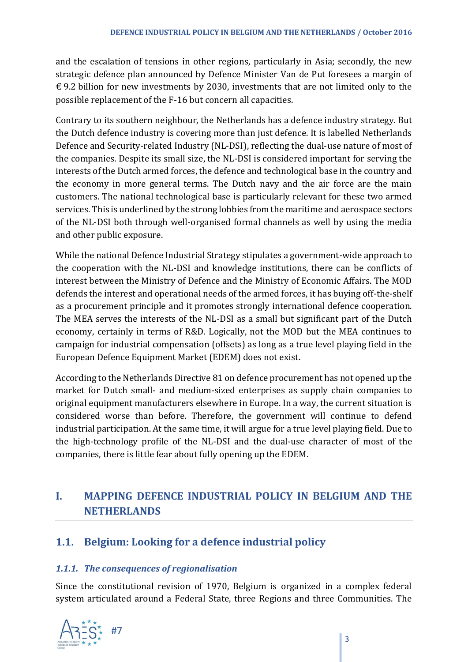and the escalation of tensions in other regions, particularly in Asia; secondly, the new strategic defence plan announced by Defence Minister Van de Put foresees a margin of  $\epsilon$  9.2 billion for new investments by 2030, investments that are not limited only to the possible replacement of the F-16 but concern all capacities.

Contrary to its southern neighbour, the Netherlands has a defence industry strategy. But the Dutch defence industry is covering more than just defence. It is labelled Netherlands Defence and Security-related Industry (NL-DSI), reflecting the dual-use nature of most of the companies. Despite its small size, the NL-DSI is considered important for serving the interests of the Dutch armed forces, the defence and technological base in the country and the economy in more general terms. The Dutch navy and the air force are the main customers. The national technological base is particularly relevant for these two armed services. This is underlined by the strong lobbies from the maritime and aerospace sectors of the NL-DSI both through well-organised formal channels as well by using the media and other public exposure.

While the national Defence Industrial Strategy stipulates a government-wide approach to the cooperation with the NL-DSI and knowledge institutions, there can be conflicts of interest between the Ministry of Defence and the Ministry of Economic Affairs. The MOD defends the interest and operational needs of the armed forces, it has buying off-the-shelf as a procurement principle and it promotes strongly international defence cooperation. The MEA serves the interests of the NL-DSI as a small but significant part of the Dutch economy, certainly in terms of R&D. Logically, not the MOD but the MEA continues to campaign for industrial compensation (offsets) as long as a true level playing field in the European Defence Equipment Market (EDEM) does not exist.

According to the Netherlands Directive 81 on defence procurement has not opened up the market for Dutch small- and medium-sized enterprises as supply chain companies to original equipment manufacturers elsewhere in Europe. In a way, the current situation is considered worse than before. Therefore, the government will continue to defend industrial participation. At the same time, it will argue for a true level playing field. Due to the high-technology profile of the NL-DSI and the dual-use character of most of the companies, there is little fear about fully opening up the EDEM.

# **I. MAPPING DEFENCE INDUSTRIAL POLICY IN BELGIUM AND THE NETHERLANDS**

# **1.1. Belgium: Looking for a defence industrial policy**

#### *1.1.1. The consequences of regionalisation*

Since the constitutional revision of 1970, Belgium is organized in a complex federal system articulated around a Federal State, three Regions and three Communities. The

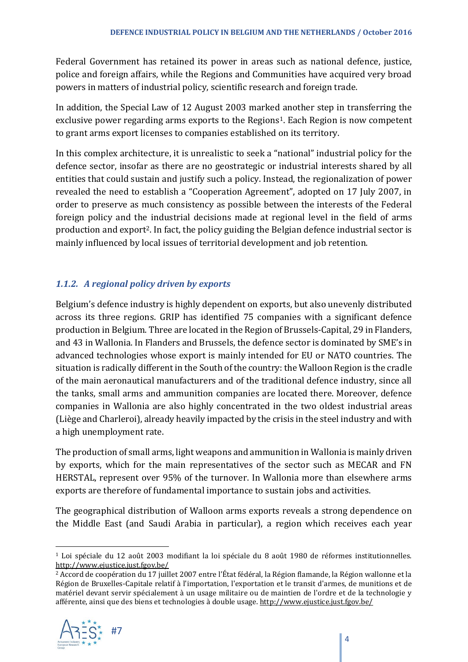Federal Government has retained its power in areas such as national defence, justice, police and foreign affairs, while the Regions and Communities have acquired very broad powers in matters of industrial policy, scientific research and foreign trade.

In addition, the Special Law of 12 August 2003 marked another step in transferring the exclusive power regarding arms exports to the Regions<sup>1</sup>. Each Region is now competent to grant arms export licenses to companies established on its territory.

In this complex architecture, it is unrealistic to seek a "national" industrial policy for the defence sector, insofar as there are no geostrategic or industrial interests shared by all entities that could sustain and justify such a policy. Instead, the regionalization of power revealed the need to establish a "Cooperation Agreement", adopted on 17 July 2007, in order to preserve as much consistency as possible between the interests of the Federal foreign policy and the industrial decisions made at regional level in the field of arms production and export2. In fact, the policy guiding the Belgian defence industrial sector is mainly influenced by local issues of territorial development and job retention.

#### *1.1.2. A regional policy driven by exports*

Belgium's defence industry is highly dependent on exports, but also unevenly distributed across its three regions. GRIP has identified 75 companies with a significant defence production in Belgium. Three are located in the Region of Brussels-Capital, 29 in Flanders, and 43 in Wallonia. In Flanders and Brussels, the defence sector is dominated by SME's in advanced technologies whose export is mainly intended for EU or NATO countries. The situation is radically different in the South of the country: the Walloon Region is the cradle of the main aeronautical manufacturers and of the traditional defence industry, since all the tanks, small arms and ammunition companies are located there. Moreover, defence companies in Wallonia are also highly concentrated in the two oldest industrial areas (Liège and Charleroi), already heavily impacted by the crisis in the steel industry and with a high unemployment rate.

The production of small arms, light weapons and ammunition in Wallonia is mainly driven by exports, which for the main representatives of the sector such as MECAR and FN HERSTAL, represent over 95% of the turnover. In Wallonia more than elsewhere arms exports are therefore of fundamental importance to sustain jobs and activities.

The geographical distribution of Walloon arms exports reveals a strong dependence on the Middle East (and Saudi Arabia in particular), a region which receives each year

<sup>2</sup> Accord de coopération du 17 juillet 2007 entre l'État fédéral, la Région flamande, la Région wallonne et la Région de Bruxelles-Capitale relatif à l'importation, l'exportation et le transit d'armes, de munitions et de matériel devant servir spécialement à un usage militaire ou de maintien de l'ordre et de la technologie y afférente, ainsi que des biens et technologies à double usage[. http://www.ejustice.just.fgov.be/](http://www.ejustice.just.fgov.be/)



<sup>1</sup> Loi spéciale du 12 août 2003 modifiant la loi spéciale du 8 août 1980 de réformes institutionnelles. <http://www.ejustice.just.fgov.be/>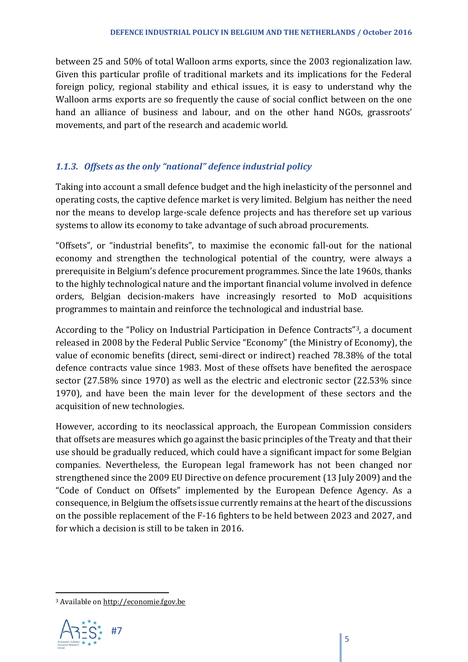between 25 and 50% of total Walloon arms exports, since the 2003 regionalization law. Given this particular profile of traditional markets and its implications for the Federal foreign policy, regional stability and ethical issues, it is easy to understand why the Walloon arms exports are so frequently the cause of social conflict between on the one hand an alliance of business and labour, and on the other hand NGOs, grassroots' movements, and part of the research and academic world.

#### *1.1.3. Offsets as the only "national" defence industrial policy*

Taking into account a small defence budget and the high inelasticity of the personnel and operating costs, the captive defence market is very limited. Belgium has neither the need nor the means to develop large-scale defence projects and has therefore set up various systems to allow its economy to take advantage of such abroad procurements.

"Offsets", or "industrial benefits", to maximise the economic fall-out for the national economy and strengthen the technological potential of the country, were always a prerequisite in Belgium's defence procurement programmes. Since the late 1960s, thanks to the highly technological nature and the important financial volume involved in defence orders, Belgian decision-makers have increasingly resorted to MoD acquisitions programmes to maintain and reinforce the technological and industrial base.

According to the "Policy on Industrial Participation in Defence Contracts"3, a document released in 2008 by the Federal Public Service "Economy" (the Ministry of Economy), the value of economic benefits (direct, semi-direct or indirect) reached 78.38% of the total defence contracts value since 1983. Most of these offsets have benefited the aerospace sector (27.58% since 1970) as well as the electric and electronic sector (22.53% since 1970), and have been the main lever for the development of these sectors and the acquisition of new technologies.

However, according to its neoclassical approach, the European Commission considers that offsets are measures which go against the basic principles of the Treaty and that their use should be gradually reduced, which could have a significant impact for some Belgian companies. Nevertheless, the European legal framework has not been changed nor strengthened since the 2009 EU Directive on defence procurement (13 July 2009) and the "Code of Conduct on Offsets" implemented by the European Defence Agency. As a consequence, in Belgium the offsets issue currently remains at the heart of the discussions on the possible replacement of the F-16 fighters to be held between 2023 and 2027, and for which a decision is still to be taken in 2016.

 $\overline{\phantom{a}}$ <sup>3</sup> Available o[n http://economie.fgov.be](http://economie.fgov.be/)

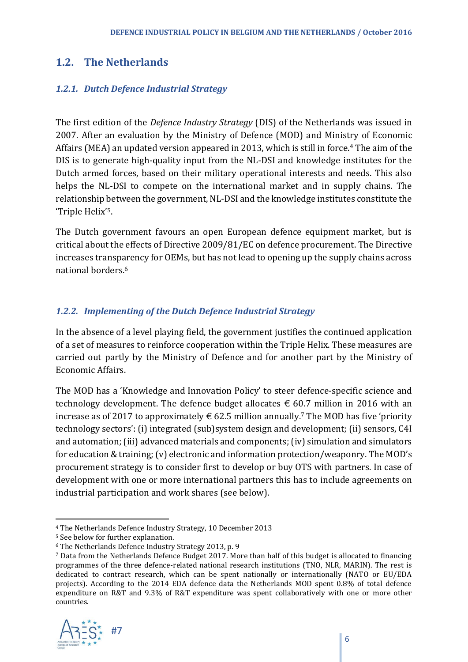# **1.2. The Netherlands**

#### *1.2.1. Dutch Defence Industrial Strategy*

The first edition of the *Defence Industry Strategy* (DIS) of the Netherlands was issued in 2007. After an evaluation by the Ministry of Defence (MOD) and Ministry of Economic Affairs (MEA) an updated version appeared in 2013, which is still in force.<sup>4</sup> The aim of the DIS is to generate high-quality input from the NL-DSI and knowledge institutes for the Dutch armed forces, based on their military operational interests and needs. This also helps the NL-DSI to compete on the international market and in supply chains. The relationship between the government, NL-DSI and the knowledge institutes constitute the 'Triple Helix' 5.

The Dutch government favours an open European defence equipment market, but is critical about the effects of Directive 2009/81/EC on defence procurement. The Directive increases transparency for OEMs, but has not lead to opening up the supply chains across national borders.<sup>6</sup>

#### *1.2.2. Implementing of the Dutch Defence Industrial Strategy*

In the absence of a level playing field, the government justifies the continued application of a set of measures to reinforce cooperation within the Triple Helix. These measures are carried out partly by the Ministry of Defence and for another part by the Ministry of Economic Affairs.

The MOD has a 'Knowledge and Innovation Policy' to steer defence-specific science and technology development. The defence budget allocates  $\epsilon$  60.7 million in 2016 with an increase as of 2017 to approximately  $\epsilon$  62.5 million annually.<sup>7</sup> The MOD has five 'priority technology sectors': (i) integrated (sub)system design and development; (ii) sensors, C4I and automation; (iii) advanced materials and components; (iv) simulation and simulators for education & training; (v) electronic and information protection/weaponry. The MOD's procurement strategy is to consider first to develop or buy OTS with partners. In case of development with one or more international partners this has to include agreements on industrial participation and work shares (see below).

<sup>7</sup> Data from the Netherlands Defence Budget 2017. More than half of this budget is allocated to financing programmes of the three defence-related national research institutions (TNO, NLR, MARIN). The rest is dedicated to contract research, which can be spent nationally or internationally (NATO or EU/EDA projects). According to the 2014 EDA defence data the Netherlands MOD spent 0.8% of total defence expenditure on R&T and 9.3% of R&T expenditure was spent collaboratively with one or more other countries.



<sup>4</sup> The Netherlands Defence Industry Strategy, 10 December 2013

<sup>5</sup> See below for further explanation.

<sup>6</sup> The Netherlands Defence Industry Strategy 2013, p. 9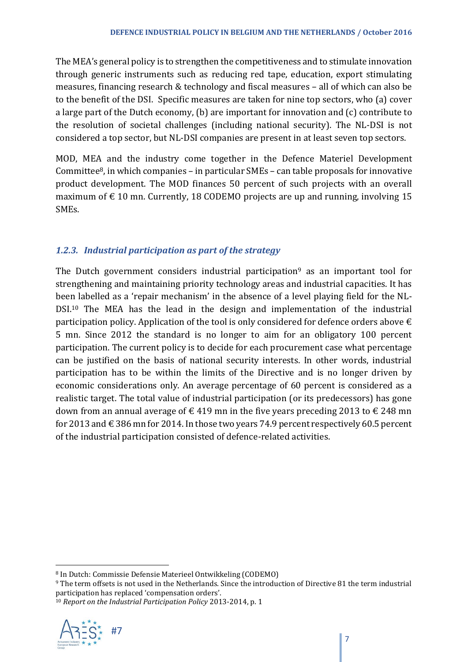The MEA's general policy is to strengthen the competitiveness and to stimulate innovation through generic instruments such as reducing red tape, education, export stimulating measures, financing research & technology and fiscal measures – all of which can also be to the benefit of the DSI. Specific measures are taken for nine top sectors, who (a) cover a large part of the Dutch economy, (b) are important for innovation and (c) contribute to the resolution of societal challenges (including national security). The NL-DSI is not considered a top sector, but NL-DSI companies are present in at least seven top sectors.

MOD, MEA and the industry come together in the Defence Materiel Development Committee<sup>8</sup>, in which companies – in particular SMEs – can table proposals for innovative product development. The MOD finances 50 percent of such projects with an overall maximum of  $\epsilon$  10 mn. Currently, 18 CODEMO projects are up and running, involving 15 SMEs.

#### *1.2.3. Industrial participation as part of the strategy*

The Dutch government considers industrial participation<sup>9</sup> as an important tool for strengthening and maintaining priority technology areas and industrial capacities. It has been labelled as a 'repair mechanism' in the absence of a level playing field for the NL-DSI.<sup>10</sup> The MEA has the lead in the design and implementation of the industrial participation policy. Application of the tool is only considered for defence orders above  $\epsilon$ 5 mn. Since 2012 the standard is no longer to aim for an obligatory 100 percent participation. The current policy is to decide for each procurement case what percentage can be justified on the basis of national security interests. In other words, industrial participation has to be within the limits of the Directive and is no longer driven by economic considerations only. An average percentage of 60 percent is considered as a realistic target. The total value of industrial participation (or its predecessors) has gone down from an annual average of  $\epsilon$  419 mn in the five years preceding 2013 to  $\epsilon$  248 mn for 2013 and  $\epsilon$  386 mn for 2014. In those two years 74.9 percent respectively 60.5 percent of the industrial participation consisted of defence-related activities.

<sup>10</sup> *Report on the Industrial Participation Policy* 2013-2014, p. 1



<sup>8</sup> In Dutch: Commissie Defensie Materieel Ontwikkeling (CODEMO)

<sup>9</sup> The term offsets is not used in the Netherlands. Since the introduction of Directive 81 the term industrial participation has replaced 'compensation orders'.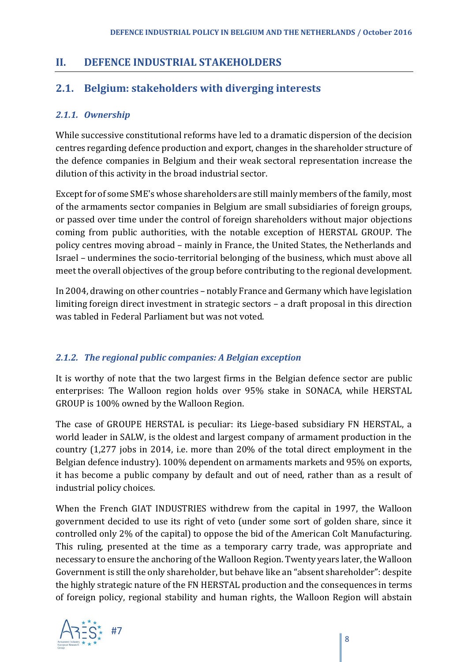# **II. DEFENCE INDUSTRIAL STAKEHOLDERS**

# **2.1. Belgium: stakeholders with diverging interests**

#### *2.1.1. Ownership*

While successive constitutional reforms have led to a dramatic dispersion of the decision centres regarding defence production and export, changes in the shareholder structure of the defence companies in Belgium and their weak sectoral representation increase the dilution of this activity in the broad industrial sector.

Except for of some SME's whose shareholders are still mainly members of the family, most of the armaments sector companies in Belgium are small subsidiaries of foreign groups, or passed over time under the control of foreign shareholders without major objections coming from public authorities, with the notable exception of HERSTAL GROUP. The policy centres moving abroad – mainly in France, the United States, the Netherlands and Israel – undermines the socio-territorial belonging of the business, which must above all meet the overall objectives of the group before contributing to the regional development.

In 2004, drawing on other countries – notably France and Germany which have legislation limiting foreign direct investment in strategic sectors – a draft proposal in this direction was tabled in Federal Parliament but was not voted.

#### *2.1.2. The regional public companies: A Belgian exception*

It is worthy of note that the two largest firms in the Belgian defence sector are public enterprises: The Walloon region holds over 95% stake in SONACA, while HERSTAL GROUP is 100% owned by the Walloon Region.

The case of GROUPE HERSTAL is peculiar: its Liege-based subsidiary FN HERSTAL, a world leader in SALW, is the oldest and largest company of armament production in the country (1,277 jobs in 2014, i.e. more than 20% of the total direct employment in the Belgian defence industry). 100% dependent on armaments markets and 95% on exports, it has become a public company by default and out of need, rather than as a result of industrial policy choices.

When the French GIAT INDUSTRIES withdrew from the capital in 1997, the Walloon government decided to use its right of veto (under some sort of golden share, since it controlled only 2% of the capital) to oppose the bid of the American Colt Manufacturing. This ruling, presented at the time as a temporary carry trade, was appropriate and necessary to ensure the anchoring of the Walloon Region. Twenty years later, the Walloon Government is still the only shareholder, but behave like an "absent shareholder": despite the highly strategic nature of the FN HERSTAL production and the consequences in terms of foreign policy, regional stability and human rights, the Walloon Region will abstain

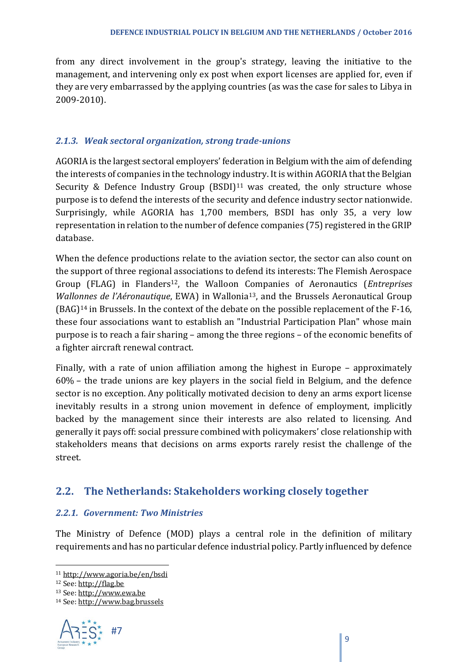from any direct involvement in the group's strategy, leaving the initiative to the management, and intervening only ex post when export licenses are applied for, even if they are very embarrassed by the applying countries (as was the case for sales to Libya in 2009-2010).

#### *2.1.3. Weak sectoral organization, strong trade-unions*

AGORIA is the largest sectoral employers' federation in Belgium with the aim of defending the interests of companies in the technology industry. It is within AGORIA that the Belgian Security & Defence Industry Group  $(BSDI)^{11}$  was created, the only structure whose purpose is to defend the interests of the security and defence industry sector nationwide. Surprisingly, while AGORIA has 1,700 members, BSDI has only 35, a very low representation in relation to the number of defence companies (75) registered in the GRIP database.

When the defence productions relate to the aviation sector, the sector can also count on the support of three regional associations to defend its interests: The Flemish Aerospace Group (FLAG) in Flanders12, the Walloon Companies of Aeronautics (*Entreprises Wallonnes de l'Aéronautique*, EWA) in Wallonia<sup>13</sup>, and the Brussels Aeronautical Group (BAG)<sup>14</sup> in Brussels. In the context of the debate on the possible replacement of the F-16, these four associations want to establish an "Industrial Participation Plan" whose main purpose is to reach a fair sharing – among the three regions – of the economic benefits of a fighter aircraft renewal contract.

Finally, with a rate of union affiliation among the highest in Europe – approximately 60% – the trade unions are key players in the social field in Belgium, and the defence sector is no exception. Any politically motivated decision to deny an arms export license inevitably results in a strong union movement in defence of employment, implicitly backed by the management since their interests are also related to licensing. And generally it pays off: social pressure combined with policymakers' close relationship with stakeholders means that decisions on arms exports rarely resist the challenge of the street.

# **2.2. The Netherlands: Stakeholders working closely together**

#### *2.2.1. Government: Two Ministries*

The Ministry of Defence (MOD) plays a central role in the definition of military requirements and has no particular defence industrial policy. Partly influenced by defence

<sup>14</sup> See: [http://www.bag.brussels](http://www.bag.brussels/)



<sup>11</sup> <http://www.agoria.be/en/bsdi>

<sup>12</sup> See: [http://flag.be](http://flag.be/)

<sup>13</sup> See: [http://www.ewa.be](http://www.ewa.be/)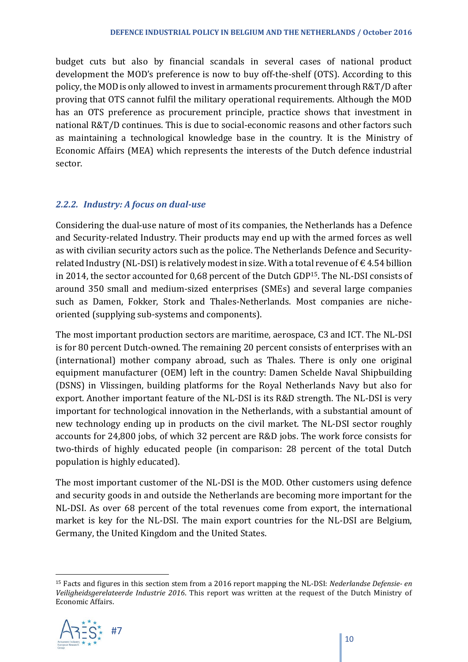budget cuts but also by financial scandals in several cases of national product development the MOD's preference is now to buy off-the-shelf (OTS). According to this policy, the MOD is only allowed to invest in armaments procurement through R&T/D after proving that OTS cannot fulfil the military operational requirements. Although the MOD has an OTS preference as procurement principle, practice shows that investment in national R&T/D continues. This is due to social-economic reasons and other factors such as maintaining a technological knowledge base in the country. It is the Ministry of Economic Affairs (MEA) which represents the interests of the Dutch defence industrial sector.

#### *2.2.2. Industry: A focus on dual-use*

Considering the dual-use nature of most of its companies, the Netherlands has a Defence and Security-related Industry. Their products may end up with the armed forces as well as with civilian security actors such as the police. The Netherlands Defence and Securityrelated Industry (NL-DSI) is relatively modest in size. With a total revenue of  $\epsilon$  4.54 billion in 2014, the sector accounted for 0,68 percent of the Dutch GDP15. The NL-DSI consists of around 350 small and medium-sized enterprises (SMEs) and several large companies such as Damen, Fokker, Stork and Thales-Netherlands. Most companies are nicheoriented (supplying sub-systems and components).

The most important production sectors are maritime, aerospace, C3 and ICT. The NL-DSI is for 80 percent Dutch-owned. The remaining 20 percent consists of enterprises with an (international) mother company abroad, such as Thales. There is only one original equipment manufacturer (OEM) left in the country: Damen Schelde Naval Shipbuilding (DSNS) in Vlissingen, building platforms for the Royal Netherlands Navy but also for export. Another important feature of the NL-DSI is its R&D strength. The NL-DSI is very important for technological innovation in the Netherlands, with a substantial amount of new technology ending up in products on the civil market. The NL-DSI sector roughly accounts for 24,800 jobs, of which 32 percent are R&D jobs. The work force consists for two-thirds of highly educated people (in comparison: 28 percent of the total Dutch population is highly educated).

The most important customer of the NL-DSI is the MOD. Other customers using defence and security goods in and outside the Netherlands are becoming more important for the NL-DSI. As over 68 percent of the total revenues come from export, the international market is key for the NL-DSI. The main export countries for the NL-DSI are Belgium, Germany, the United Kingdom and the United States.

l <sup>15</sup> Facts and figures in this section stem from a 2016 report mapping the NL-DSI: *Nederlandse Defensie- en Veiligheidsgerelateerde Industrie 2016*. This report was written at the request of the Dutch Ministry of Economic Affairs.

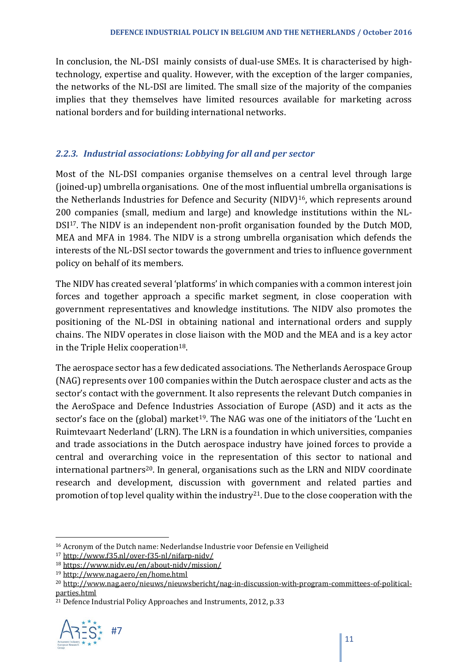In conclusion, the NL-DSI mainly consists of dual-use SMEs. It is characterised by hightechnology, expertise and quality. However, with the exception of the larger companies, the networks of the NL-DSI are limited. The small size of the majority of the companies implies that they themselves have limited resources available for marketing across national borders and for building international networks.

#### *2.2.3. Industrial associations: Lobbying for all and per sector*

Most of the NL-DSI companies organise themselves on a central level through large (joined-up) umbrella organisations. One of the most influential umbrella organisations is the Netherlands Industries for Defence and Security (NIDV)16, which represents around 200 companies (small, medium and large) and knowledge institutions within the NL-DSI<sup>17</sup>. The NIDV is an independent non-profit organisation founded by the Dutch MOD, MEA and MFA in 1984. The NIDV is a strong umbrella organisation which defends the interests of the NL-DSI sector towards the government and tries to influence government policy on behalf of its members.

The NIDV has created several 'platforms' in which companies with a common interest join forces and together approach a specific market segment, in close cooperation with government representatives and knowledge institutions. The NIDV also promotes the positioning of the NL-DSI in obtaining national and international orders and supply chains. The NIDV operates in close liaison with the MOD and the MEA and is a key actor in the Triple Helix cooperation<sup>18</sup>.

The aerospace sector has a few dedicated associations. The Netherlands Aerospace Group (NAG) represents over 100 companies within the Dutch aerospace cluster and acts as the sector's contact with the government. It also represents the relevant Dutch companies in the AeroSpace and Defence Industries Association of Europe (ASD) and it acts as the sector's face on the (global) market<sup>19</sup>. The NAG was one of the initiators of the 'Lucht en Ruimtevaart Nederland' (LRN). The LRN is a foundation in which universities, companies and trade associations in the Dutch aerospace industry have joined forces to provide a central and overarching voice in the representation of this sector to national and international partners<sup>20</sup>. In general, organisations such as the LRN and NIDV coordinate research and development, discussion with government and related parties and promotion of top level quality within the industry<sup>21</sup>. Due to the close cooperation with the

 $21$  Defence Industrial Policy Approaches and Instruments, 2012, p.33



 $\overline{a}$ 

<sup>16</sup> Acronym of the Dutch name: Nederlandse Industrie voor Defensie en Veiligheid

<sup>17</sup> <http://www.f35.nl/over-f35-nl/nifarp-nidv/>

<sup>18</sup> <https://www.nidv.eu/en/about-nidv/mission/>

<sup>19</sup> <http://www.nag.aero/en/home.html>

<sup>&</sup>lt;sup>20</sup> [http://www.nag.aero/nieuws/nieuwsbericht/nag-in-discussion-with-program-committees-of-political](http://www.nag.aero/nieuws/nieuwsbericht/nag-in-discussion-with-program-committees-of-political-parties.html)[parties.html](http://www.nag.aero/nieuws/nieuwsbericht/nag-in-discussion-with-program-committees-of-political-parties.html)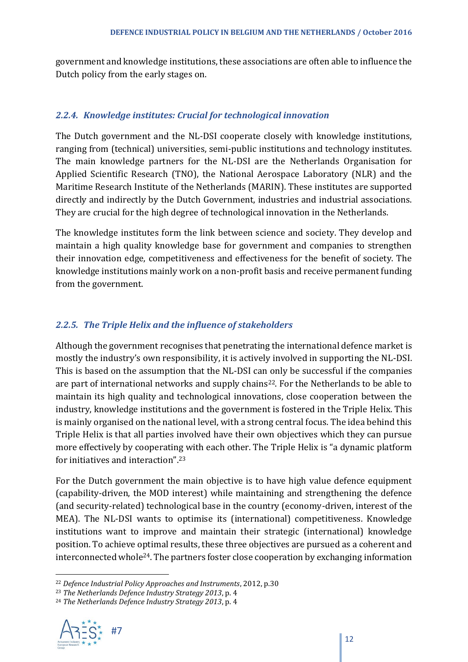government and knowledge institutions, these associations are often able to influence the Dutch policy from the early stages on.

#### *2.2.4. Knowledge institutes: Crucial for technological innovation*

The Dutch government and the NL-DSI cooperate closely with knowledge institutions, ranging from (technical) universities, semi-public institutions and technology institutes. The main knowledge partners for the NL-DSI are the Netherlands Organisation for Applied Scientific Research (TNO), the National Aerospace Laboratory (NLR) and the Maritime Research Institute of the Netherlands (MARIN). These institutes are supported directly and indirectly by the Dutch Government, industries and industrial associations. They are crucial for the high degree of technological innovation in the Netherlands.

The knowledge institutes form the link between science and society. They develop and maintain a high quality knowledge base for government and companies to strengthen their innovation edge, competitiveness and effectiveness for the benefit of society. The knowledge institutions mainly work on a non-profit basis and receive permanent funding from the government.

#### *2.2.5. The Triple Helix and the influence of stakeholders*

Although the government recognises that penetrating the international defence market is mostly the industry's own responsibility, it is actively involved in supporting the NL-DSI. This is based on the assumption that the NL-DSI can only be successful if the companies are part of international networks and supply chains<sup>22</sup>. For the Netherlands to be able to maintain its high quality and technological innovations, close cooperation between the industry, knowledge institutions and the government is fostered in the Triple Helix. This is mainly organised on the national level, with a strong central focus. The idea behind this Triple Helix is that all parties involved have their own objectives which they can pursue more effectively by cooperating with each other. The Triple Helix is "a dynamic platform for initiatives and interaction".<sup>23</sup>

For the Dutch government the main objective is to have high value defence equipment (capability-driven, the MOD interest) while maintaining and strengthening the defence (and security-related) technological base in the country (economy-driven, interest of the MEA). The NL-DSI wants to optimise its (international) competitiveness. Knowledge institutions want to improve and maintain their strategic (international) knowledge position. To achieve optimal results, these three objectives are pursued as a coherent and interconnected whole24. The partners foster close cooperation by exchanging information

<sup>24</sup> *The Netherlands Defence Industry Strategy 2013*, p. 4



l

<sup>22</sup> *Defence Industrial Policy Approaches and Instruments*, 2012, p.30

<sup>23</sup> *The Netherlands Defence Industry Strategy 2013*, p. 4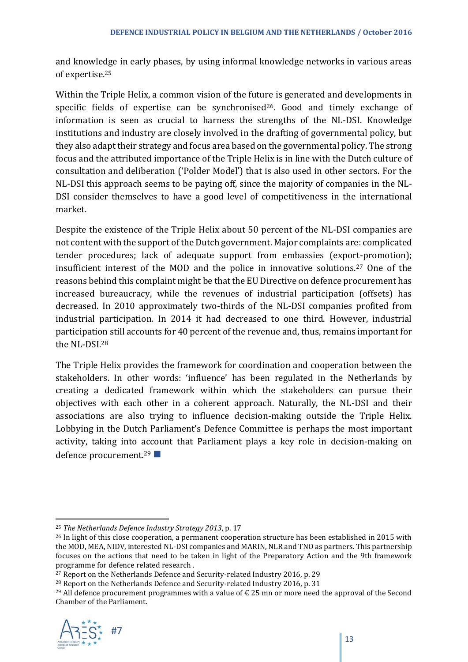and knowledge in early phases, by using informal knowledge networks in various areas of expertise.<sup>25</sup>

Within the Triple Helix, a common vision of the future is generated and developments in specific fields of expertise can be synchronised<sup>26</sup>. Good and timely exchange of information is seen as crucial to harness the strengths of the NL-DSI. Knowledge institutions and industry are closely involved in the drafting of governmental policy, but they also adapt their strategy and focus area based on the governmental policy. The strong focus and the attributed importance of the Triple Helix is in line with the Dutch culture of consultation and deliberation ('Polder Model') that is also used in other sectors. For the NL-DSI this approach seems to be paying off, since the majority of companies in the NL-DSI consider themselves to have a good level of competitiveness in the international market.

Despite the existence of the Triple Helix about 50 percent of the NL-DSI companies are not content with the support of the Dutch government. Major complaints are: complicated tender procedures; lack of adequate support from embassies (export-promotion); insufficient interest of the MOD and the police in innovative solutions.<sup>27</sup> One of the reasons behind this complaint might be that the EU Directive on defence procurement has increased bureaucracy, while the revenues of industrial participation (offsets) has decreased. In 2010 approximately two-thirds of the NL-DSI companies profited from industrial participation. In 2014 it had decreased to one third. However, industrial participation still accounts for 40 percent of the revenue and, thus, remains important for the NL-DSI.<sup>28</sup>

The Triple Helix provides the framework for coordination and cooperation between the stakeholders. In other words: 'influence' has been regulated in the Netherlands by creating a dedicated framework within which the stakeholders can pursue their objectives with each other in a coherent approach. Naturally, the NL-DSI and their associations are also trying to influence decision-making outside the Triple Helix. Lobbying in the Dutch Parliament's Defence Committee is perhaps the most important activity, taking into account that Parliament plays a key role in decision-making on defence procurement.<sup>29</sup>

<sup>&</sup>lt;sup>29</sup> All defence procurement programmes with a value of  $\epsilon$  25 mn or more need the approval of the Second Chamber of the Parliament.



 $\overline{\phantom{a}}$ <sup>25</sup> *The Netherlands Defence Industry Strategy 2013*, p. 17

<sup>&</sup>lt;sup>26</sup> In light of this close cooperation, a permanent cooperation structure has been established in 2015 with the MOD, MEA, NIDV, interested NL-DSI companies and MARIN, NLR and TNO as partners. This partnership focuses on the actions that need to be taken in light of the Preparatory Action and the 9th framework programme for defence related research .

<sup>&</sup>lt;sup>27</sup> Report on the Netherlands Defence and Security-related Industry 2016, p. 29

<sup>&</sup>lt;sup>28</sup> Report on the Netherlands Defence and Security-related Industry 2016, p. 31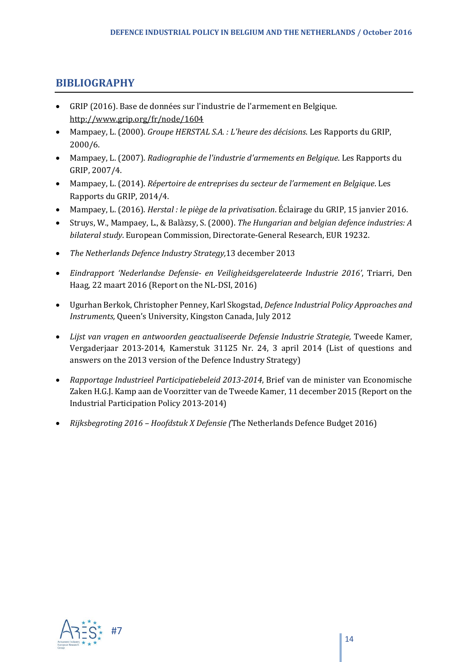### **BIBLIOGRAPHY**

- GRIP (2016). Base de données sur l'industrie de l'armement en Belgique. <http://www.grip.org/fr/node/1604>
- Mampaey, L. (2000). *Groupe HERSTAL S.A. : L'heure des décisions*. Les Rapports du GRIP, 2000/6.
- Mampaey, L. (2007). *Radiographie de l'industrie d'armements en Belgique*. Les Rapports du GRIP, 2007/4.
- Mampaey, L. (2014). *Répertoire de entreprises du secteur de l'armement en Belgique*. Les Rapports du GRIP, 2014/4.
- Mampaey, L. (2016). *Herstal : le piège de la privatisation*. Éclairage du GRIP, 15 janvier 2016.
- Struys, W., Mampaey, L., & Balàzsy, S. (2000). *The Hungarian and belgian defence industries: A bilateral study*. European Commission, Directorate-General Research, EUR 19232.
- *The Netherlands Defence Industry Strategy,*13 december 2013
- *Eindrapport 'Nederlandse Defensie- en Veiligheidsgerelateerde Industrie 2016'*, Triarri, Den Haag, 22 maart 2016 (Report on the NL-DSI, 2016)
- Ugurhan Berkok, Christopher Penney, Karl Skogstad, *Defence Industrial Policy Approaches and Instruments,* Queen's University, Kingston Canada, July 2012
- *Lijst van vragen en antwoorden geactualiseerde Defensie Industrie Strategie,* Tweede Kamer, Vergaderjaar 2013-2014, Kamerstuk 31125 Nr. 24, 3 april 2014 (List of questions and answers on the 2013 version of the Defence Industry Strategy)
- *Rapportage Industrieel Participatiebeleid 2013-2014*, Brief van de minister van Economische Zaken H.G.J. Kamp aan de Voorzitter van de Tweede Kamer, 11 december 2015 (Report on the Industrial Participation Policy 2013-2014)
- *Rijksbegroting 2016 – Hoofdstuk X Defensie (*The Netherlands Defence Budget 2016)